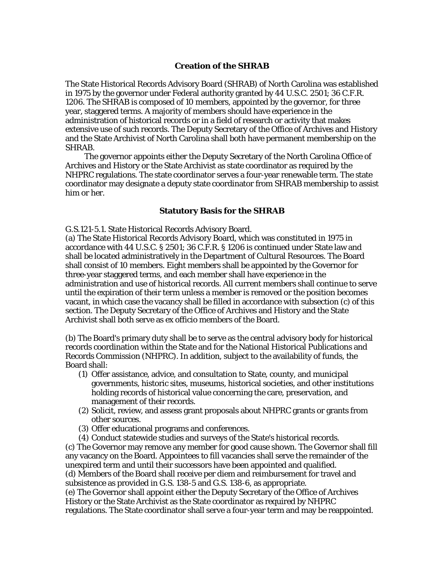## **Creation of the SHRAB**

The State Historical Records Advisory Board (SHRAB) of North Carolina was established in 1975 by the governor under Federal authority granted by 44 U.S.C. 2501; 36 C.F.R. 1206. The SHRAB is composed of 10 members, appointed by the governor, for three year, staggered terms. A majority of members should have experience in the administration of historical records or in a field of research or activity that makes extensive use of such records. The Deputy Secretary of the Office of Archives and History and the State Archivist of North Carolina shall both have permanent membership on the SHRAB.

 The governor appoints either the Deputy Secretary of the North Carolina Office of Archives and History or the State Archivist as state coordinator as required by the NHPRC regulations. The state coordinator serves a four-year renewable term. The state coordinator may designate a deputy state coordinator from SHRAB membership to assist him or her.

## **Statutory Basis for the SHRAB**

G.S.121-5.1. State Historical Records Advisory Board.

(a) The State Historical Records Advisory Board, which was constituted in 1975 in accordance with 44 U.S.C. § 2501; 36 C.F.R. § 1206 is continued under State law and shall be located administratively in the Department of Cultural Resources. The Board shall consist of 10 members. Eight members shall be appointed by the Governor for three-year staggered terms, and each member shall have experience in the administration and use of historical records. All current members shall continue to serve until the expiration of their term unless a member is removed or the position becomes vacant, in which case the vacancy shall be filled in accordance with subsection (c) of this section. The Deputy Secretary of the Office of Archives and History and the State Archivist shall both serve as ex officio members of the Board.

(b) The Board's primary duty shall be to serve as the central advisory body for historical records coordination within the State and for the National Historical Publications and Records Commission (NHPRC). In addition, subject to the availability of funds, the Board shall:

- (1) Offer assistance, advice, and consultation to State, county, and municipal governments, historic sites, museums, historical societies, and other institutions holding records of historical value concerning the care, preservation, and management of their records.
- (2) Solicit, review, and assess grant proposals about NHPRC grants or grants from other sources.
- (3) Offer educational programs and conferences.
- (4) Conduct statewide studies and surveys of the State's historical records.

(c) The Governor may remove any member for good cause shown. The Governor shall fill any vacancy on the Board. Appointees to fill vacancies shall serve the remainder of the unexpired term and until their successors have been appointed and qualified. (d) Members of the Board shall receive per diem and reimbursement for travel and subsistence as provided in G.S. 138-5 and G.S. 138-6, as appropriate.

(e) The Governor shall appoint either the Deputy Secretary of the Office of Archives History or the State Archivist as the State coordinator as required by NHPRC regulations. The State coordinator shall serve a four-year term and may be reappointed.